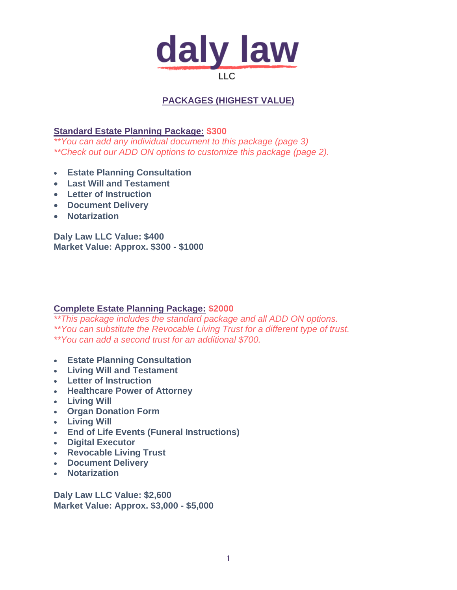

## **PACKAGES (HIGHEST VALUE)**

**Standard Estate Planning Package: \$300**

*\*\*You can add any individual document to this package (page 3) \*\*Check out our ADD ON options to customize this package (page 2).*

- **Estate Planning Consultation**
- **Last Will and Testament**
- **Letter of Instruction**
- **Document Delivery**
- **Notarization**

**Daly Law LLC Value: \$400 Market Value: Approx. \$300 - \$1000** 

#### **Complete Estate Planning Package: \$2000**

*\*\*This package includes the standard package and all ADD ON options. \*\*You can substitute the Revocable Living Trust for a different type of trust. \*\*You can add a second trust for an additional \$700.* 

- **Estate Planning Consultation**
- **Living Will and Testament**
- **Letter of Instruction**
- **Healthcare Power of Attorney**
- **Living Will**
- **Organ Donation Form**
- **Living Will**
- **End of Life Events (Funeral Instructions)**
- **Digital Executor**
- **Revocable Living Trust**
- **Document Delivery**
- **Notarization**

**Daly Law LLC Value: \$2,600 Market Value: Approx. \$3,000 - \$5,000**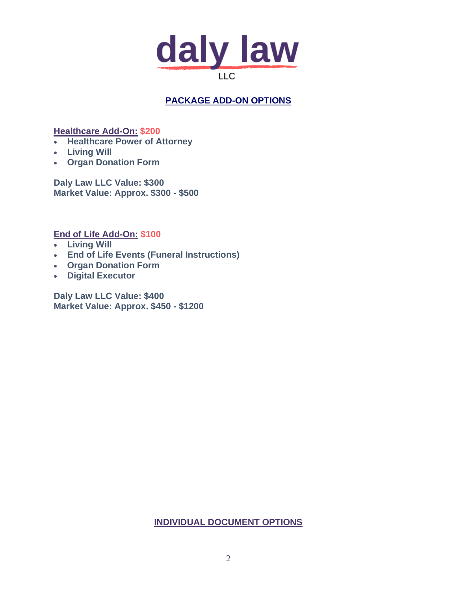

# **PACKAGE ADD-ON OPTIONS**

**Healthcare Add-On: \$200**

- **Healthcare Power of Attorney**
- **Living Will**
- **Organ Donation Form**

**Daly Law LLC Value: \$300 Market Value: Approx. \$300 - \$500**

**End of Life Add-On: \$100**

- **Living Will**
- **End of Life Events (Funeral Instructions)**
- **Organ Donation Form**
- **Digital Executor**

**Daly Law LLC Value: \$400 Market Value: Approx. \$450 - \$1200**

#### **INDIVIDUAL DOCUMENT OPTIONS**